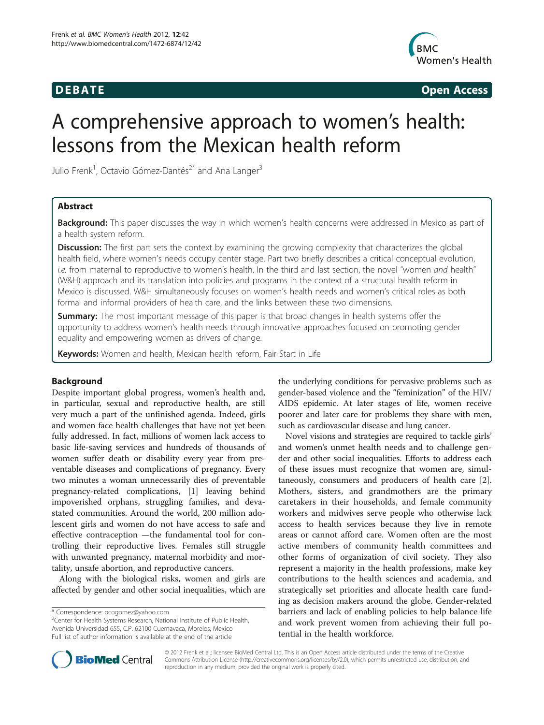

**DEBATE CONSIDERENT CONSIDERED ACCESS** 

# A comprehensive approach to women's health: lessons from the Mexican health reform

Julio Frenk<sup>1</sup>, Octavio Gómez-Dantés<sup>2\*</sup> and Ana Langer<sup>3</sup>

# Abstract

**Background:** This paper discusses the way in which women's health concerns were addressed in Mexico as part of a health system reform.

**Discussion:** The first part sets the context by examining the growing complexity that characterizes the global health field, where women's needs occupy center stage. Part two briefly describes a critical conceptual evolution, i.e. from maternal to reproductive to women's health. In the third and last section, the novel "women and health" (W&H) approach and its translation into policies and programs in the context of a structural health reform in Mexico is discussed. W&H simultaneously focuses on women's health needs and women's critical roles as both formal and informal providers of health care, and the links between these two dimensions.

**Summary:** The most important message of this paper is that broad changes in health systems offer the opportunity to address women's health needs through innovative approaches focused on promoting gender equality and empowering women as drivers of change.

Keywords: Women and health, Mexican health reform, Fair Start in Life

# Background

Despite important global progress, women's health and, in particular, sexual and reproductive health, are still very much a part of the unfinished agenda. Indeed, girls and women face health challenges that have not yet been fully addressed. In fact, millions of women lack access to basic life-saving services and hundreds of thousands of women suffer death or disability every year from preventable diseases and complications of pregnancy. Every two minutes a woman unnecessarily dies of preventable pregnancy-related complications, [\[1](#page-5-0)] leaving behind impoverished orphans, struggling families, and devastated communities. Around the world, 200 million adolescent girls and women do not have access to safe and effective contraception —the fundamental tool for controlling their reproductive lives. Females still struggle with unwanted pregnancy, maternal morbidity and mortality, unsafe abortion, and reproductive cancers.

Along with the biological risks, women and girls are affected by gender and other social inequalities, which are

<sup>2</sup> Center for Health Systems Research, National Institute of Public Health, Avenida Universidad 655, C.P. 62100 Cuernavaca, Morelos, Mexico Full list of author information is available at the end of the article

the underlying conditions for pervasive problems such as gender-based violence and the "feminization" of the HIV/ AIDS epidemic. At later stages of life, women receive poorer and later care for problems they share with men, such as cardiovascular disease and lung cancer.

Novel visions and strategies are required to tackle girls' and women's unmet health needs and to challenge gender and other social inequalities. Efforts to address each of these issues must recognize that women are, simultaneously, consumers and producers of health care [\[2](#page-5-0)]. Mothers, sisters, and grandmothers are the primary caretakers in their households, and female community workers and midwives serve people who otherwise lack access to health services because they live in remote areas or cannot afford care. Women often are the most active members of community health committees and other forms of organization of civil society. They also represent a majority in the health professions, make key contributions to the health sciences and academia, and strategically set priorities and allocate health care funding as decision makers around the globe. Gender-related barriers and lack of enabling policies to help balance life and work prevent women from achieving their full potential in the health workforce.



© 2012 Frenk et al.; licensee BioMed Central Ltd. This is an Open Access article distributed under the terms of the Creative Commons Attribution License [\(http://creativecommons.org/licenses/by/2.0\)](http://creativecommons.org/licenses/by/2.0), which permits unrestricted use, distribution, and reproduction in any medium, provided the original work is properly cited.

<sup>\*</sup> Correspondence: [ocogomez@yahoo.com](mailto:ocogomez@yahoo.com) <sup>2</sup>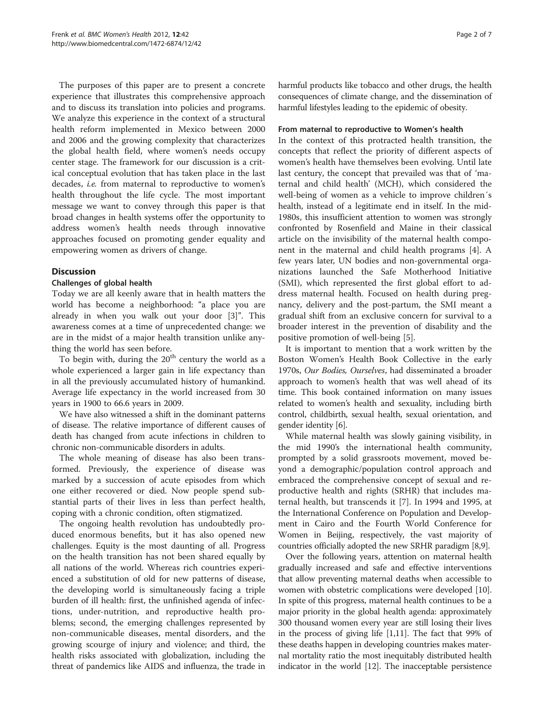The purposes of this paper are to present a concrete experience that illustrates this comprehensive approach and to discuss its translation into policies and programs. We analyze this experience in the context of a structural health reform implemented in Mexico between 2000 and 2006 and the growing complexity that characterizes the global health field, where women's needs occupy center stage. The framework for our discussion is a critical conceptual evolution that has taken place in the last decades, i.e. from maternal to reproductive to women's health throughout the life cycle. The most important message we want to convey through this paper is that broad changes in health systems offer the opportunity to address women's health needs through innovative approaches focused on promoting gender equality and empowering women as drivers of change.

# **Discussion**

# Challenges of global health

Today we are all keenly aware that in health matters the world has become a neighborhood: "a place you are already in when you walk out your door [[3](#page-5-0)]". This awareness comes at a time of unprecedented change: we are in the midst of a major health transition unlike anything the world has seen before.

To begin with, during the  $20<sup>th</sup>$  century the world as a whole experienced a larger gain in life expectancy than in all the previously accumulated history of humankind. Average life expectancy in the world increased from 30 years in 1900 to 66.6 years in 2009.

We have also witnessed a shift in the dominant patterns of disease. The relative importance of different causes of death has changed from acute infections in children to chronic non-communicable disorders in adults.

The whole meaning of disease has also been transformed. Previously, the experience of disease was marked by a succession of acute episodes from which one either recovered or died. Now people spend substantial parts of their lives in less than perfect health, coping with a chronic condition, often stigmatized.

The ongoing health revolution has undoubtedly produced enormous benefits, but it has also opened new challenges. Equity is the most daunting of all. Progress on the health transition has not been shared equally by all nations of the world. Whereas rich countries experienced a substitution of old for new patterns of disease, the developing world is simultaneously facing a triple burden of ill health: first, the unfinished agenda of infections, under-nutrition, and reproductive health problems; second, the emerging challenges represented by non-communicable diseases, mental disorders, and the growing scourge of injury and violence; and third, the health risks associated with globalization, including the threat of pandemics like AIDS and influenza, the trade in harmful products like tobacco and other drugs, the health consequences of climate change, and the dissemination of harmful lifestyles leading to the epidemic of obesity.

### From maternal to reproductive to Women's health

In the context of this protracted health transition, the concepts that reflect the priority of different aspects of women's health have themselves been evolving. Until late last century, the concept that prevailed was that of 'maternal and child health' (MCH), which considered the well-being of women as a vehicle to improve children´s health, instead of a legitimate end in itself. In the mid-1980s, this insufficient attention to women was strongly confronted by Rosenfield and Maine in their classical article on the invisibility of the maternal health component in the maternal and child health programs [\[4\]](#page-5-0). A few years later, UN bodies and non-governmental organizations launched the Safe Motherhood Initiative (SMI), which represented the first global effort to address maternal health. Focused on health during pregnancy, delivery and the post-partum, the SMI meant a gradual shift from an exclusive concern for survival to a broader interest in the prevention of disability and the positive promotion of well-being [[5\]](#page-5-0).

It is important to mention that a work written by the Boston Women's Health Book Collective in the early 1970s, Our Bodies, Ourselves, had disseminated a broader approach to women's health that was well ahead of its time. This book contained information on many issues related to women's health and sexuality, including birth control, childbirth, sexual health, sexual orientation, and gender identity [[6](#page-5-0)].

While maternal health was slowly gaining visibility, in the mid 1990's the international health community, prompted by a solid grassroots movement, moved beyond a demographic/population control approach and embraced the comprehensive concept of sexual and reproductive health and rights (SRHR) that includes maternal health, but transcends it [[7\]](#page-5-0). In 1994 and 1995, at the International Conference on Population and Development in Cairo and the Fourth World Conference for Women in Beijing, respectively, the vast majority of countries officially adopted the new SRHR paradigm [[8,9](#page-5-0)].

Over the following years, attention on maternal health gradually increased and safe and effective interventions that allow preventing maternal deaths when accessible to women with obstetric complications were developed [[10](#page-5-0)]. In spite of this progress, maternal health continues to be a major priority in the global health agenda: approximately 300 thousand women every year are still losing their lives in the process of giving life [\[1,11\]](#page-5-0). The fact that 99% of these deaths happen in developing countries makes maternal mortality ratio the most inequitably distributed health indicator in the world [[12](#page-5-0)]. The inacceptable persistence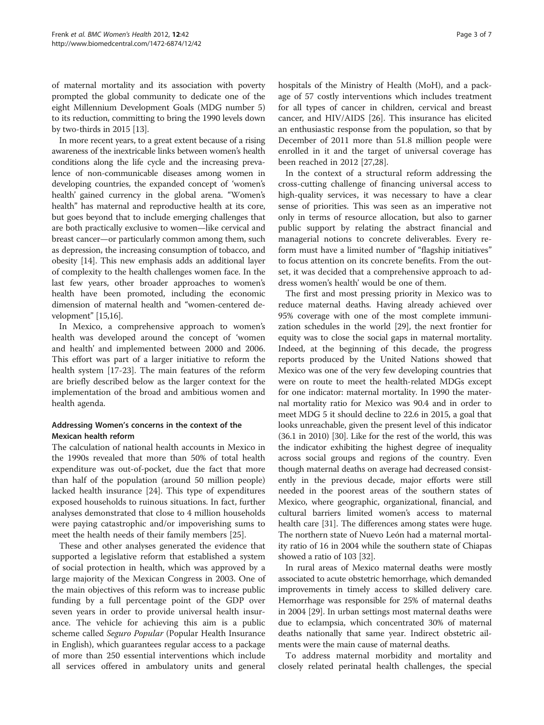of maternal mortality and its association with poverty prompted the global community to dedicate one of the eight Millennium Development Goals (MDG number 5) to its reduction, committing to bring the 1990 levels down by two-thirds in 2015 [\[13\]](#page-5-0).

In more recent years, to a great extent because of a rising awareness of the inextricable links between women's health conditions along the life cycle and the increasing prevalence of non-communicable diseases among women in developing countries, the expanded concept of 'women's health' gained currency in the global arena. "Women's health" has maternal and reproductive health at its core, but goes beyond that to include emerging challenges that are both practically exclusive to women—like cervical and breast cancer—or particularly common among them, such as depression, the increasing consumption of tobacco, and obesity [\[14](#page-5-0)]. This new emphasis adds an additional layer of complexity to the health challenges women face. In the last few years, other broader approaches to women's health have been promoted, including the economic dimension of maternal health and "women-centered development" [\[15,16](#page-5-0)].

In Mexico, a comprehensive approach to women's health was developed around the concept of 'women and health' and implemented between 2000 and 2006. This effort was part of a larger initiative to reform the health system [[17-23\]](#page-5-0). The main features of the reform are briefly described below as the larger context for the implementation of the broad and ambitious women and health agenda.

# Addressing Women's concerns in the context of the Mexican health reform

The calculation of national health accounts in Mexico in the 1990s revealed that more than 50% of total health expenditure was out-of-pocket, due the fact that more than half of the population (around 50 million people) lacked health insurance [[24\]](#page-5-0). This type of expenditures exposed households to ruinous situations. In fact, further analyses demonstrated that close to 4 million households were paying catastrophic and/or impoverishing sums to meet the health needs of their family members [[25](#page-5-0)].

These and other analyses generated the evidence that supported a legislative reform that established a system of social protection in health, which was approved by a large majority of the Mexican Congress in 2003. One of the main objectives of this reform was to increase public funding by a full percentage point of the GDP over seven years in order to provide universal health insurance. The vehicle for achieving this aim is a public scheme called Seguro Popular (Popular Health Insurance in English), which guarantees regular access to a package of more than 250 essential interventions which include all services offered in ambulatory units and general hospitals of the Ministry of Health (MoH), and a package of 57 costly interventions which includes treatment for all types of cancer in children, cervical and breast cancer, and HIV/AIDS [[26\]](#page-5-0). This insurance has elicited an enthusiastic response from the population, so that by December of 2011 more than 51.8 million people were enrolled in it and the target of universal coverage has been reached in 2012 [\[27,28](#page-5-0)].

In the context of a structural reform addressing the cross-cutting challenge of financing universal access to high-quality services, it was necessary to have a clear sense of priorities. This was seen as an imperative not only in terms of resource allocation, but also to garner public support by relating the abstract financial and managerial notions to concrete deliverables. Every reform must have a limited number of "flagship initiatives" to focus attention on its concrete benefits. From the outset, it was decided that a comprehensive approach to address women's health' would be one of them.

The first and most pressing priority in Mexico was to reduce maternal deaths. Having already achieved over 95% coverage with one of the most complete immunization schedules in the world [\[29\]](#page-5-0), the next frontier for equity was to close the social gaps in maternal mortality. Indeed, at the beginning of this decade, the progress reports produced by the United Nations showed that Mexico was one of the very few developing countries that were on route to meet the health-related MDGs except for one indicator: maternal mortality. In 1990 the maternal mortality ratio for Mexico was 90.4 and in order to meet MDG 5 it should decline to 22.6 in 2015, a goal that looks unreachable, given the present level of this indicator (36.1 in 2010) [\[30](#page-5-0)]. Like for the rest of the world, this was the indicator exhibiting the highest degree of inequality across social groups and regions of the country. Even though maternal deaths on average had decreased consistently in the previous decade, major efforts were still needed in the poorest areas of the southern states of Mexico, where geographic, organizational, financial, and cultural barriers limited women's access to maternal health care [\[31](#page-5-0)]. The differences among states were huge. The northern state of Nuevo León had a maternal mortality ratio of 16 in 2004 while the southern state of Chiapas showed a ratio of 103 [\[32\]](#page-6-0).

In rural areas of Mexico maternal deaths were mostly associated to acute obstetric hemorrhage, which demanded improvements in timely access to skilled delivery care. Hemorrhage was responsible for 25% of maternal deaths in 2004 [[29](#page-5-0)]. In urban settings most maternal deaths were due to eclampsia, which concentrated 30% of maternal deaths nationally that same year. Indirect obstetric ailments were the main cause of maternal deaths.

To address maternal morbidity and mortality and closely related perinatal health challenges, the special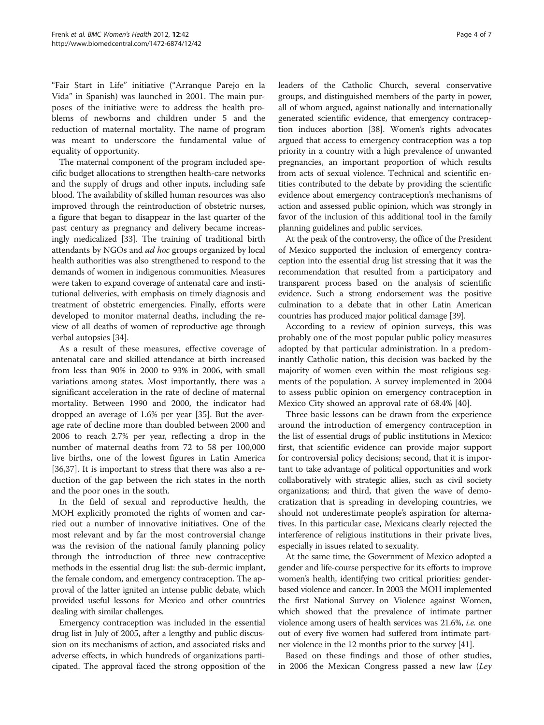"Fair Start in Life" initiative ("Arranque Parejo en la Vida" in Spanish) was launched in 2001. The main purposes of the initiative were to address the health problems of newborns and children under 5 and the reduction of maternal mortality. The name of program was meant to underscore the fundamental value of equality of opportunity.

The maternal component of the program included specific budget allocations to strengthen health-care networks and the supply of drugs and other inputs, including safe blood. The availability of skilled human resources was also improved through the reintroduction of obstetric nurses, a figure that began to disappear in the last quarter of the past century as pregnancy and delivery became increasingly medicalized [[33](#page-6-0)]. The training of traditional birth attendants by NGOs and ad hoc groups organized by local health authorities was also strengthened to respond to the demands of women in indigenous communities. Measures were taken to expand coverage of antenatal care and institutional deliveries, with emphasis on timely diagnosis and treatment of obstetric emergencies. Finally, efforts were developed to monitor maternal deaths, including the review of all deaths of women of reproductive age through verbal autopsies [\[34\]](#page-6-0).

As a result of these measures, effective coverage of antenatal care and skilled attendance at birth increased from less than 90% in 2000 to 93% in 2006, with small variations among states. Most importantly, there was a significant acceleration in the rate of decline of maternal mortality. Between 1990 and 2000, the indicator had dropped an average of 1.6% per year [[35\]](#page-6-0). But the average rate of decline more than doubled between 2000 and 2006 to reach 2.7% per year, reflecting a drop in the number of maternal deaths from 72 to 58 per 100,000 live births, one of the lowest figures in Latin America [[36,37\]](#page-6-0). It is important to stress that there was also a reduction of the gap between the rich states in the north and the poor ones in the south.

In the field of sexual and reproductive health, the MOH explicitly promoted the rights of women and carried out a number of innovative initiatives. One of the most relevant and by far the most controversial change was the revision of the national family planning policy through the introduction of three new contraceptive methods in the essential drug list: the sub-dermic implant, the female condom, and emergency contraception. The approval of the latter ignited an intense public debate, which provided useful lessons for Mexico and other countries dealing with similar challenges.

Emergency contraception was included in the essential drug list in July of 2005, after a lengthy and public discussion on its mechanisms of action, and associated risks and adverse effects, in which hundreds of organizations participated. The approval faced the strong opposition of the leaders of the Catholic Church, several conservative groups, and distinguished members of the party in power, all of whom argued, against nationally and internationally generated scientific evidence, that emergency contraception induces abortion [\[38](#page-6-0)]. Women's rights advocates argued that access to emergency contraception was a top priority in a country with a high prevalence of unwanted pregnancies, an important proportion of which results from acts of sexual violence. Technical and scientific entities contributed to the debate by providing the scientific evidence about emergency contraception's mechanisms of action and assessed public opinion, which was strongly in favor of the inclusion of this additional tool in the family planning guidelines and public services.

At the peak of the controversy, the office of the President of Mexico supported the inclusion of emergency contraception into the essential drug list stressing that it was the recommendation that resulted from a participatory and transparent process based on the analysis of scientific evidence. Such a strong endorsement was the positive culmination to a debate that in other Latin American countries has produced major political damage [\[39\]](#page-6-0).

According to a review of opinion surveys, this was probably one of the most popular public policy measures adopted by that particular administration. In a predominantly Catholic nation, this decision was backed by the majority of women even within the most religious segments of the population. A survey implemented in 2004 to assess public opinion on emergency contraception in Mexico City showed an approval rate of 68.4% [\[40](#page-6-0)].

Three basic lessons can be drawn from the experience around the introduction of emergency contraception in the list of essential drugs of public institutions in Mexico: first, that scientific evidence can provide major support for controversial policy decisions; second, that it is important to take advantage of political opportunities and work collaboratively with strategic allies, such as civil society organizations; and third, that given the wave of democratization that is spreading in developing countries, we should not underestimate people's aspiration for alternatives. In this particular case, Mexicans clearly rejected the interference of religious institutions in their private lives, especially in issues related to sexuality.

At the same time, the Government of Mexico adopted a gender and life-course perspective for its efforts to improve women's health, identifying two critical priorities: genderbased violence and cancer. In 2003 the MOH implemented the first National Survey on Violence against Women, which showed that the prevalence of intimate partner violence among users of health services was 21.6%, i.e. one out of every five women had suffered from intimate partner violence in the 12 months prior to the survey [[41](#page-6-0)].

Based on these findings and those of other studies, in 2006 the Mexican Congress passed a new law (Ley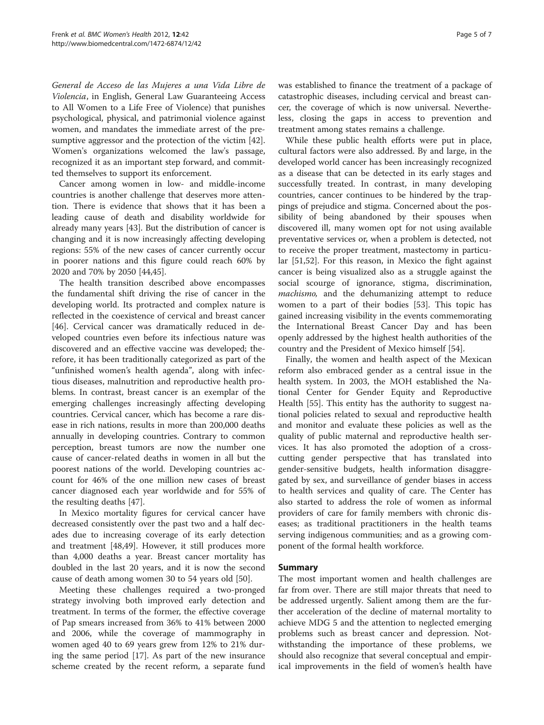General de Acceso de las Mujeres a una Vida Libre de Violencia, in English, General Law Guaranteeing Access to All Women to a Life Free of Violence) that punishes psychological, physical, and patrimonial violence against women, and mandates the immediate arrest of the presumptive aggressor and the protection of the victim [\[42](#page-6-0)]. Women's organizations welcomed the law's passage, recognized it as an important step forward, and committed themselves to support its enforcement.

Cancer among women in low- and middle-income countries is another challenge that deserves more attention. There is evidence that shows that it has been a leading cause of death and disability worldwide for already many years [\[43\]](#page-6-0). But the distribution of cancer is changing and it is now increasingly affecting developing regions: 55% of the new cases of cancer currently occur in poorer nations and this figure could reach 60% by 2020 and 70% by 2050 [\[44,45\]](#page-6-0).

The health transition described above encompasses the fundamental shift driving the rise of cancer in the developing world. Its protracted and complex nature is reflected in the coexistence of cervical and breast cancer [[46\]](#page-6-0). Cervical cancer was dramatically reduced in developed countries even before its infectious nature was discovered and an effective vaccine was developed; therefore, it has been traditionally categorized as part of the "unfinished women's health agenda", along with infectious diseases, malnutrition and reproductive health problems. In contrast, breast cancer is an exemplar of the emerging challenges increasingly affecting developing countries. Cervical cancer, which has become a rare disease in rich nations, results in more than 200,000 deaths annually in developing countries. Contrary to common perception, breast tumors are now the number one cause of cancer-related deaths in women in all but the poorest nations of the world. Developing countries account for 46% of the one million new cases of breast cancer diagnosed each year worldwide and for 55% of the resulting deaths [\[47](#page-6-0)].

In Mexico mortality figures for cervical cancer have decreased consistently over the past two and a half decades due to increasing coverage of its early detection and treatment [[48,49\]](#page-6-0). However, it still produces more than 4,000 deaths a year. Breast cancer mortality has doubled in the last 20 years, and it is now the second cause of death among women 30 to 54 years old [\[50](#page-6-0)].

Meeting these challenges required a two-pronged strategy involving both improved early detection and treatment. In terms of the former, the effective coverage of Pap smears increased from 36% to 41% between 2000 and 2006, while the coverage of mammography in women aged 40 to 69 years grew from 12% to 21% during the same period [[17\]](#page-5-0). As part of the new insurance scheme created by the recent reform, a separate fund was established to finance the treatment of a package of catastrophic diseases, including cervical and breast cancer, the coverage of which is now universal. Nevertheless, closing the gaps in access to prevention and treatment among states remains a challenge.

While these public health efforts were put in place, cultural factors were also addressed. By and large, in the developed world cancer has been increasingly recognized as a disease that can be detected in its early stages and successfully treated. In contrast, in many developing countries, cancer continues to be hindered by the trappings of prejudice and stigma. Concerned about the possibility of being abandoned by their spouses when discovered ill, many women opt for not using available preventative services or, when a problem is detected, not to receive the proper treatment, mastectomy in particular [[51](#page-6-0),[52](#page-6-0)]. For this reason, in Mexico the fight against cancer is being visualized also as a struggle against the social scourge of ignorance, stigma, discrimination, machismo, and the dehumanizing attempt to reduce women to a part of their bodies [[53\]](#page-6-0). This topic has gained increasing visibility in the events commemorating the International Breast Cancer Day and has been openly addressed by the highest health authorities of the country and the President of Mexico himself [\[54\]](#page-6-0).

Finally, the women and health aspect of the Mexican reform also embraced gender as a central issue in the health system. In 2003, the MOH established the National Center for Gender Equity and Reproductive Health [[55\]](#page-6-0). This entity has the authority to suggest national policies related to sexual and reproductive health and monitor and evaluate these policies as well as the quality of public maternal and reproductive health services. It has also promoted the adoption of a crosscutting gender perspective that has translated into gender-sensitive budgets, health information disaggregated by sex, and surveillance of gender biases in access to health services and quality of care. The Center has also started to address the role of women as informal providers of care for family members with chronic diseases; as traditional practitioners in the health teams serving indigenous communities; and as a growing component of the formal health workforce.

# Summary

The most important women and health challenges are far from over. There are still major threats that need to be addressed urgently. Salient among them are the further acceleration of the decline of maternal mortality to achieve MDG 5 and the attention to neglected emerging problems such as breast cancer and depression. Notwithstanding the importance of these problems, we should also recognize that several conceptual and empirical improvements in the field of women's health have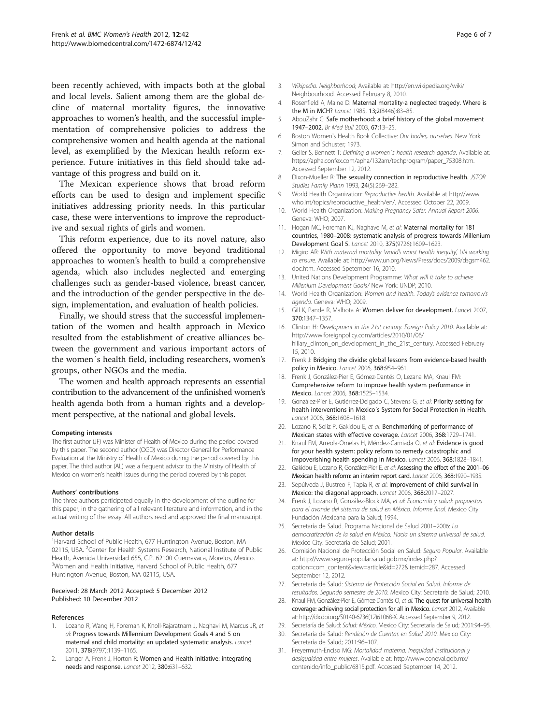<span id="page-5-0"></span>been recently achieved, with impacts both at the global and local levels. Salient among them are the global decline of maternal mortality figures, the innovative approaches to women's health, and the successful implementation of comprehensive policies to address the comprehensive women and health agenda at the national level, as exemplified by the Mexican health reform experience. Future initiatives in this field should take advantage of this progress and build on it.

The Mexican experience shows that broad reform efforts can be used to design and implement specific initiatives addressing priority needs. In this particular case, these were interventions to improve the reproductive and sexual rights of girls and women.

This reform experience, due to its novel nature, also offered the opportunity to move beyond traditional approaches to women's health to build a comprehensive agenda, which also includes neglected and emerging challenges such as gender-based violence, breast cancer, and the introduction of the gender perspective in the design, implementation, and evaluation of health policies.

Finally, we should stress that the successful implementation of the women and health approach in Mexico resulted from the establishment of creative alliances between the government and various important actors of the women´s health field, including researchers, women's groups, other NGOs and the media.

The women and health approach represents an essential contribution to the advancement of the unfinished women's health agenda both from a human rights and a development perspective, at the national and global levels.

#### Competing interests

The first author (JF) was Minister of Health of Mexico during the period covered by this paper. The second author (OGD) was Director General for Performance Evaluation at the Ministry of Health of Mexico during the period covered by this paper. The third author (AL) was a frequent advisor to the Ministry of Health of Mexico on women's health issues during the period covered by this paper.

#### Authors' contributions

The three authors participated equally in the development of the outline for this paper, in the gathering of all relevant literature and information, and in the actual writing of the essay. All authors read and approved the final manuscript.

#### Author details

<sup>1</sup> Harvard School of Public Health, 677 Huntington Avenue, Boston, MA 02115, USA. <sup>2</sup> Center for Health Systems Research, National Institute of Public Health, Avenida Universidad 655, C.P. 62100 Cuernavaca, Morelos, Mexico. <sup>3</sup>Women and Health Initiative, Harvard School of Public Health, 677 Huntington Avenue, Boston, MA 02115, USA.

#### Received: 28 March 2012 Accepted: 5 December 2012 Published: 10 December 2012

#### References

- Lozano R, Wang H, Foreman K, Knoll-Rajaratnam J, Naghavi M, Marcus JR, et al: Progress towards Millennium Development Goals 4 and 5 on maternal and child mortality: an updated systematic analysis. Lancet 2011, 378(9797):1139–1165.
- 2. Langer A, Frenk J, Horton R: Women and Health Initiative: integrating needs and response. Lancet 2012, 380:631–632.
- 3. Wikipedia. Neighborhood; Available at: [http://en.wikipedia.org/wiki/](http://en.wikipedia.org/wiki/Neighbourhood) [Neighbourhood](http://en.wikipedia.org/wiki/Neighbourhood). Accessed February 8, 2010.
- 4. Rosenfield A, Maine D: Maternal mortality-a neglected tragedy. Where is the M in MCH? Lancet 1985, 13;2(8446):83–85.
- 5. AbouZahr C: Safe motherhood: a brief history of the global movement 1947-2002. Br Med Bull 2003, 67:13-25.
- 6. Boston Women's Health Book Collective: Our bodies, ourselves. New York: Simon and Schuster; 1973.
- 7. Geller S, Bennett T: Defining a women's health research agenda. Available at: [https://apha.confex.com/apha/132am/techprogram/paper\\_75308.htm](https://apha.confex.com/apha/132am/techprogram/paper_75308.htm). Accessed September 12, 2012.
- 8. Dixon-Mueller R: The sexuality connection in reproductive health. JSTOR Studies Family Plann 1993, 24(5):269–282.
- 9. World Health Organization: Reproductive health. Available at [http://www.](http://www.who.int/topics/reproductive_health/en/) [who.int/topics/reproductive\\_health/en/.](http://www.who.int/topics/reproductive_health/en/) Accessed October 22, 2009.
- 10. World Health Organization: Making Pregnancy Safer. Annual Report 2006. Geneva: WHO; 2007.
- 11. Hogan MC, Foreman KJ, Naghave M, et al: Maternal mortality for 181 countries, 1980–2008: systematic analysis of progress towards Millenium Development Goal 5. Lancet 2010, 375(9726):1609–1623.
- 12. Migiro AR: With maternal mortality 'world's worst health inequity', UN working to ensure. Available at: [http://www.un.org/News/Press/docs/2009/dsgsm462.](http://www.un.org/News/Press/docs/2009/dsgsm462.doc.htm) [doc.htm](http://www.un.org/News/Press/docs/2009/dsgsm462.doc.htm). Accessed Spetember 16, 2010.
- 13. United Nations Development Programme: What will it take to achieve Millenium Development Goals? New York: UNDP; 2010.
- 14. World Health Organization: Women and health. Today's evidence tomorrow's agenda. Geneva: WHO; 2009.
- 15. Gill K, Pande R, Malhota A: Women deliver for development. Lancet 2007, 370:1347–1357.
- 16. Clinton H: Development in the 21st century. Foreign Policy 2010. Available at: [http://www.foreignpolicy.com/articles/2010/01/06/](http://www.foreignpolicy.com/articles/2010/01/06/hillary_clinton_on_development_in_the_21st_century) [hillary\\_clinton\\_on\\_development\\_in\\_the\\_21st\\_century](http://www.foreignpolicy.com/articles/2010/01/06/hillary_clinton_on_development_in_the_21st_century). Accessed February 15, 2010.
- 17. Frenk J: Bridging the divide: global lessons from evidence-based health policy in Mexico. Lancet 2006, 368:954-961.
- 18. Frenk J, González-Pier E, Gómez-Dantés O, Lezana MA, Knaul FM: Comprehensive reform to improve health system performance in Mexico. Lancet 2006, 368:1525–1534.
- 19. González-Pier E, Gutiérrez-Delgado C, Stevens G, et al: Priority setting for health interventions in Mexico´s System for Social Protection in Health. Lancet 2006, 368:1608–1618.
- 20. Lozano R, Soliz P, Gakidou E, et al: Benchmarking of performance of Mexican states with effective coverage. Lancet 2006, 368:1729–1741.
- 21. Knaul FM, Arreola-Ornelas H, Méndez-Carniada O, et al: Evidence is good for your health system: policy reform to remedy catastrophic and impoverishing health spending in Mexico. Lancet 2006, 368:1828–1841.
- 22. Gakidou E, Lozano R, González-Pier E, et al: Assessing the effect of the 2001-06 Mexican health reform: an interim report card. Lancet 2006, 368:1920–1935.
- 23. Sepúlveda J, Bustreo F, Tapia R, et al: Improvement of child survival in Mexico: the diagonal approach. Lancet 2006, 368:2017–2027.
- 24. Frenk J, Lozano R, González-Block MA, et al: Economía y salud: propuestas para el avande del sistema de salud en México. Informe final. Mexico City: Fundación Mexicana para la Salud; 1994.
- 25. Secretaría de Salud. Programa Nacional de Salud 2001–2006: La democratización de la salud en México. Hacia un sistema universal de salud. Mexico City: Secretaría de Salud; 2001.
- 26. Comisión Nacional de Protección Social en Salud: Seguro Popular. Available at: [http://www.seguro-popular.salud.gob.mx/index.php?](http://www.seguro-popular.salud.gob.mx/index.php?option=com_content&view=article&id=272&Itemid=287) [option=com\\_content&view=article&id=272&Itemid=287.](http://www.seguro-popular.salud.gob.mx/index.php?option=com_content&view=article&id=272&Itemid=287) Accessed September 12, 2012.
- 27. Secretaría de Salud: Sistema de Protección Social en Salud. Informe de resultados. Segundo semestre de 2010. Mexico City: Secretaría de Salud; 2010.
- 28. Knaul FM, González-Pier E, Gómez-Dantés O, et al: The quest for universal health coverage: achieving social protection for all in Mexico. Lancet 2012, Available at: [http://dx.doi.org/S0140-6736\(12\)61068-X.](http://dx.doi.org/S0140-6736(12)61068-X) Accessed September 9, 2012.
- 29. Secretaría de Salud: Salud: México. Mexico City: Secretaría de Salud; 2001:94-95.
- 30. Secretaría de Salud: Rendición de Cuentas en Salud 2010. Mexico City: Secretaría de Salud; 2011:96–107.
- 31. Freyermuth-Enciso MG: Mortalidad materna. Inequidad institucional y desigualdad entre mujeres. Available at: [http://www.coneval.gob.mx/](http://www.coneval.gob.mx/contenido/info_public/6815.pdf) [contenido/info\\_public/6815.pdf](http://www.coneval.gob.mx/contenido/info_public/6815.pdf). Accessed September 14, 2012.